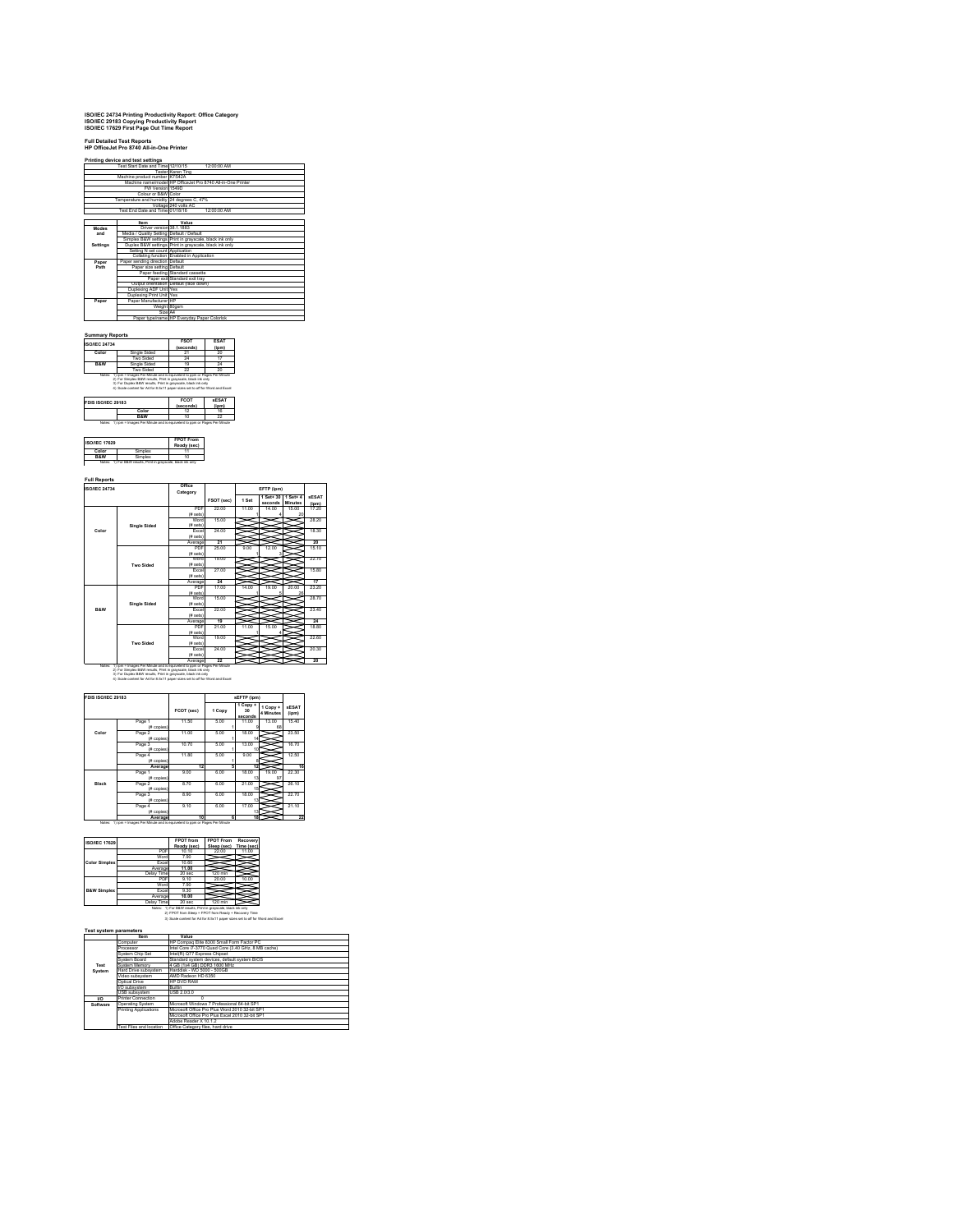## **ISO/IEC 24734 Printing Productivity Report: Office Category ISO/IEC 29183 Copying Productivity Report ISO/IEC 17629 First Page Out Time Report**

|                               | Printing device and test settings<br>Test Start Date and Time 12/10/15 | 12:00:00 AM                                                 |  |
|-------------------------------|------------------------------------------------------------------------|-------------------------------------------------------------|--|
|                               |                                                                        | Tester Karen Ting                                           |  |
| Machine product number K7S42A |                                                                        |                                                             |  |
|                               |                                                                        | Machine name/model HP OfficeJet Pro 8740 All-in-One Printer |  |
| FW Version 1549D              |                                                                        |                                                             |  |
|                               | Colour or B&W Color                                                    |                                                             |  |
|                               | Temperature and humidity 24 degrees C. 47%                             |                                                             |  |
|                               |                                                                        | Voltage 240 volts AC                                        |  |
|                               | Test End Date and Time 01/18/16                                        | 12:00:00 AM                                                 |  |
|                               |                                                                        |                                                             |  |
|                               | Item                                                                   | Value                                                       |  |
| Modes                         | Driver version 38.1.1883                                               |                                                             |  |
| and                           | Media / Quality Setting Default / Default                              |                                                             |  |
|                               |                                                                        | Simplex B&W settings Print in grayscale, black ink only     |  |
| Settings                      |                                                                        | Duplex B&W settings Print in gravscale, black ink only      |  |
|                               | Setting N set count Application                                        |                                                             |  |
|                               |                                                                        | Collating function Enabled in Application                   |  |
| Paper                         | Paper sending direction Default                                        |                                                             |  |
| Path                          | Paper size setting Default                                             |                                                             |  |
|                               |                                                                        | Paper feeding Standard cassette                             |  |
|                               |                                                                        | Paper exit Standard exit trav                               |  |
|                               |                                                                        | Output orientation Default (face down)                      |  |
|                               | Duplexing ADF Unit Yes                                                 |                                                             |  |
|                               | Duplexing Print Unit Yes                                               |                                                             |  |
| Paper                         | Paper Manufacturer IHP                                                 |                                                             |  |
|                               | Weight 80gsm                                                           |                                                             |  |
|                               | Size A4                                                                |                                                             |  |
|                               |                                                                        | Paper type/name HP Everyday Paper Colorlok                  |  |

| <b>ISO/JEC 24734</b> |                                                                                                                                                                                                                   | <b>FSOT</b><br>(seconds) | ESA1<br>$($ ipm $)$ |  |
|----------------------|-------------------------------------------------------------------------------------------------------------------------------------------------------------------------------------------------------------------|--------------------------|---------------------|--|
| Color                | Single Sided                                                                                                                                                                                                      | 21                       | 20                  |  |
|                      | Two Sided                                                                                                                                                                                                         | 24                       |                     |  |
| <b>R&amp;W</b>       | Single Sided                                                                                                                                                                                                      | 19                       | 24                  |  |
|                      | Two Sided                                                                                                                                                                                                         |                          | 20                  |  |
|                      | Notes: 1) jon = Images Per Minute and is equivelent to pom or Pages Per Minute<br>2) For Simplex B&W results. Print in gravaçale, black ink only<br>3) For Duplex B&W results. Print in gravaçale, black ink only |                          |                     |  |
| FDIS ISO/IEC 29183   | 4) Scale content for A4 for 8.5x11 paper sizes set to off for Word and Excel                                                                                                                                      | <b>FCOT</b>              | <b>KESAT</b>        |  |
|                      |                                                                                                                                                                                                                   | (seconds)                | (ipm)               |  |
|                      | Color<br><b>R&amp;W</b>                                                                                                                                                                                           | 12<br>10                 | 16<br>22            |  |

| <b>ISO/IEC 17629</b> |        | <b>FPOT From</b><br>Ready (sec) |
|----------------------|--------|---------------------------------|
| Color                | amplex |                                 |
|                      | imnlex |                                 |

| <b>ISO/IEC 24734</b> |                                                                                                                                                                                                            | Office<br>Category       |            |       | EFTP (jpm)           |                                |                       |
|----------------------|------------------------------------------------------------------------------------------------------------------------------------------------------------------------------------------------------------|--------------------------|------------|-------|----------------------|--------------------------------|-----------------------|
|                      |                                                                                                                                                                                                            |                          | FSOT (sec) | 1 Set | 1 Set+ 30<br>seconds | $1$ Set+ $4$<br><b>Minutes</b> | <b>SESAT</b><br>(jpm) |
|                      |                                                                                                                                                                                                            | PDF                      | 22.00      | 11.00 | 14.00                | 15.00                          | 17.20                 |
|                      |                                                                                                                                                                                                            | (# sets)                 |            |       |                      | 20                             |                       |
|                      |                                                                                                                                                                                                            | Word                     | 15.00      |       |                      |                                | 28.20                 |
|                      | <b>Single Sided</b>                                                                                                                                                                                        | (# sets)                 |            |       |                      |                                |                       |
| Color                |                                                                                                                                                                                                            | <b>Fxnel</b>             | 24 m       |       |                      |                                | 18.30                 |
|                      |                                                                                                                                                                                                            | (# sets)                 |            |       |                      |                                |                       |
|                      |                                                                                                                                                                                                            | Average                  | 21         |       |                      |                                | 20                    |
|                      |                                                                                                                                                                                                            | PDF                      | 25.00      | 9.00  | 12.00                |                                | 15.10                 |
|                      |                                                                                                                                                                                                            | (# sets)                 |            |       | ä                    |                                |                       |
|                      |                                                                                                                                                                                                            | Word                     | 19.00      |       |                      |                                | 22.70                 |
|                      | Two Sided                                                                                                                                                                                                  | (# sets)                 |            |       |                      |                                |                       |
|                      |                                                                                                                                                                                                            | <b>Fxnel</b>             | 27 00      |       |                      |                                | 15.80                 |
|                      |                                                                                                                                                                                                            | (# sets)                 |            |       |                      |                                |                       |
|                      |                                                                                                                                                                                                            | Average                  | 24         |       |                      |                                | 17                    |
|                      |                                                                                                                                                                                                            | PDF                      | 17.00      | 14.00 | 19.00                | 20.00                          | 23.20                 |
|                      |                                                                                                                                                                                                            | (# sets)<br>Word         | 15.00      |       |                      | 2Ř                             | 28.70                 |
|                      |                                                                                                                                                                                                            |                          |            |       |                      |                                |                       |
| <b>R&amp;W</b>       | <b>Single Sided</b>                                                                                                                                                                                        | (# sets)<br><b>Fxnel</b> | 22.00      |       |                      |                                | 23.40                 |
|                      |                                                                                                                                                                                                            | (# sets)                 |            |       |                      |                                |                       |
|                      |                                                                                                                                                                                                            | Average                  | 19         |       |                      |                                | 24                    |
|                      |                                                                                                                                                                                                            | PDF                      | 21 00      | 11.00 | 15.00                |                                | 18.80                 |
|                      |                                                                                                                                                                                                            | (# sets)                 |            |       |                      |                                |                       |
|                      |                                                                                                                                                                                                            | Word                     | 19.00      |       |                      |                                | 22.60                 |
|                      | Two Sided                                                                                                                                                                                                  | (# sets)                 |            |       |                      |                                |                       |
|                      |                                                                                                                                                                                                            | <b>Fxnel</b>             | 24 m       |       |                      |                                | 20.30                 |
|                      |                                                                                                                                                                                                            | (# sets)                 |            |       |                      |                                |                       |
|                      |                                                                                                                                                                                                            | Average                  | 22         |       |                      |                                | 20                    |
| Notes:               | 1) jom = Images Per Minute and is equivalent to pom or Pages Per Minute<br>2) For Simplex B&W results. Print in gravaçale, black ink only<br>3) For Duplex B&W results. Print in gravaçale, black ink only |                          |            |       |                      |                                |                       |

| FDIS ISO/IEC 29183 |                         |            |        | sEFTP (ipm)                            |                       |                       |
|--------------------|-------------------------|------------|--------|----------------------------------------|-----------------------|-----------------------|
|                    |                         | FCOT (sec) | 1 Copy | 1 Copy +<br>30 <sub>0</sub><br>seconds | 1 Copy +<br>4 Minutes | <b>sESAT</b><br>(ipm) |
|                    | Page 1<br>(# copies)    | 11.50      | 5.00   | 11.00                                  | 13.00<br>68           | 15.40                 |
| Color              | Page 2<br>(# copies)    | 11.00      | 5.00   | 18.00<br>14                            |                       | 23.50                 |
|                    | Page 3<br>(# copies)    | 10.70      | 5.00   | 13.00<br>10                            |                       | 16.70                 |
|                    | Page 4<br>(# copies)    | 11.80      | 5.00   | 9.00                                   |                       | 12.50                 |
|                    | Average                 | 12         | s      | 12                                     |                       | 16                    |
|                    | Page 1<br>(# copies)    | 9.00       | 6.00   | 18.00<br>13                            | 19.00<br>97           | 22.30                 |
| Black              | Page 2<br>(# copies)    | 8.70       | 6.00   | 21.00<br>15                            |                       | 26.10                 |
|                    | Page 3<br>(# copies)    | 8.90       | 6.00   | 18.00<br>13                            |                       | 22.70                 |
|                    | Page 4<br>$(f#$ copies) | 9.10       | 6.00   | 17.00<br>13                            |                       | 21.10                 |
|                    | Average                 | 10         | Ŕ.     | 18                                     |                       | 22                    |

| <b>ISO/IEC 17629</b>   |            | <b>FPOT from</b><br>Ready (sec) | <b>FPOT From</b><br>Sleep (sec) | Recovery<br>Time (sec) |
|------------------------|------------|---------------------------------|---------------------------------|------------------------|
|                        | PDF        | 10.10                           | 22.00                           | 11.00                  |
|                        | Word       | 7.90                            |                                 |                        |
| <b>Color Simplex</b>   | Excel      | 10.60                           |                                 |                        |
|                        | Average    | 11.00                           |                                 |                        |
|                        | Delay Time | 20 <sub>sec</sub>               | 120 min                         |                        |
|                        | PDF        | 9.10                            | 20.00                           | 10.00                  |
|                        | Word       | 7.90                            |                                 |                        |
| <b>B&amp;W Simplex</b> | Excel      | 9.30                            |                                 |                        |
|                        | Average    | 10.00                           |                                 |                        |
|                        | Delay Time | 20 <sub>sec</sub>               | 120 min                         |                        |

## Delay Time 20 sec 120 min<br>Notes: 1) For B&W results, Print in grayscale, black ink only<br>2) FPOT from Sleep = FPOT from Ready + Recovery Time<br>3) Scale content for A4 for 8.5x11 paper sizes set to off for Word and Excel

|          | <b>Item</b>               | Value                                               |  |
|----------|---------------------------|-----------------------------------------------------|--|
|          | Computer                  | HP Compag Elite 8300 Small Form Factor PC           |  |
|          | Processor                 | Intel Core i7-3770 Quad Core (3.40 GHz, 8 MB cache) |  |
|          | System Chip Set           | Intel(R) Q77 Express Chipset                        |  |
|          | System Roard              | Standard system devices, default system BIOS        |  |
| Test     | System Memory             | 4 GB (1x4 GB) DDR3 1600 MHz                         |  |
| System   | Hard Drive subsystem      | Harddisk - WD 5000 - 500GB                          |  |
|          | Video subsystem           | AMD Radeon HD 6350                                  |  |
|          | Ontical Drive             | HP DVD RAM                                          |  |
|          | I/O subsystem             | <b>Ruiltin</b>                                      |  |
|          | USB subsystem             | <b>LISR 2 0/3 0</b>                                 |  |
| w        | <b>Printer Connection</b> |                                                     |  |
| Software | <b>Operating System</b>   | Microsoft Windows 7 Professional 64-bit SP1         |  |
|          | Printing Applications     | Microsoft Office Pro Plus Word 2010 32-bit SP1      |  |
|          |                           | Microsoft Office Pro Plus Excel 2010 32-bit SP1     |  |
|          |                           | Adobe Reader X 10.1.2                               |  |
|          | Test Files and location   | Office Category files, hard drive                   |  |